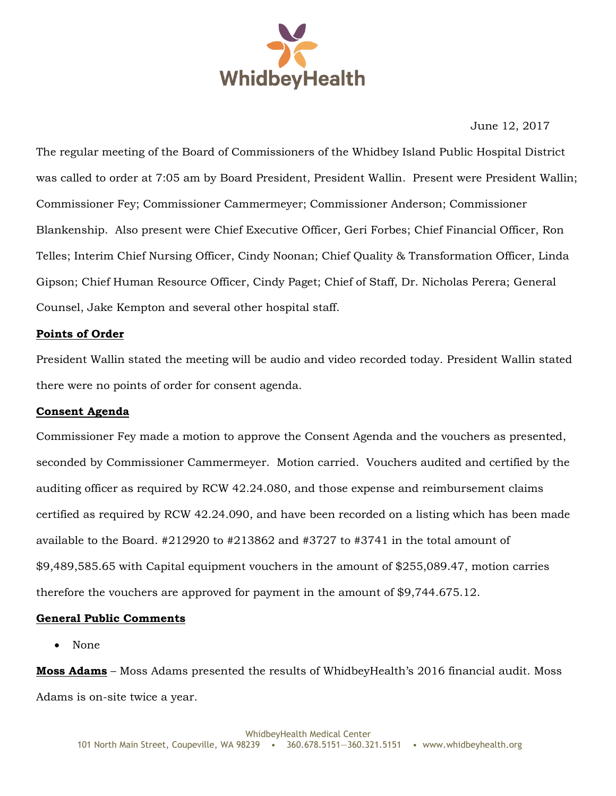

June 12, 2017

The regular meeting of the Board of Commissioners of the Whidbey Island Public Hospital District was called to order at 7:05 am by Board President, President Wallin. Present were President Wallin; Commissioner Fey; Commissioner Cammermeyer; Commissioner Anderson; Commissioner Blankenship. Also present were Chief Executive Officer, Geri Forbes; Chief Financial Officer, Ron Telles; Interim Chief Nursing Officer, Cindy Noonan; Chief Quality & Transformation Officer, Linda Gipson; Chief Human Resource Officer, Cindy Paget; Chief of Staff, Dr. Nicholas Perera; General Counsel, Jake Kempton and several other hospital staff.

# **Points of Order**

President Wallin stated the meeting will be audio and video recorded today. President Wallin stated there were no points of order for consent agenda.

# **Consent Agenda**

Commissioner Fey made a motion to approve the Consent Agenda and the vouchers as presented, seconded by Commissioner Cammermeyer. Motion carried. Vouchers audited and certified by the auditing officer as required by RCW 42.24.080, and those expense and reimbursement claims certified as required by RCW 42.24.090, and have been recorded on a listing which has been made available to the Board. #212920 to #213862 and #3727 to #3741 in the total amount of \$9,489,585.65 with Capital equipment vouchers in the amount of \$255,089.47, motion carries therefore the vouchers are approved for payment in the amount of \$9,744.675.12.

# **General Public Comments**

• None

**Moss Adams** – Moss Adams presented the results of WhidbeyHealth's 2016 financial audit. Moss Adams is on-site twice a year.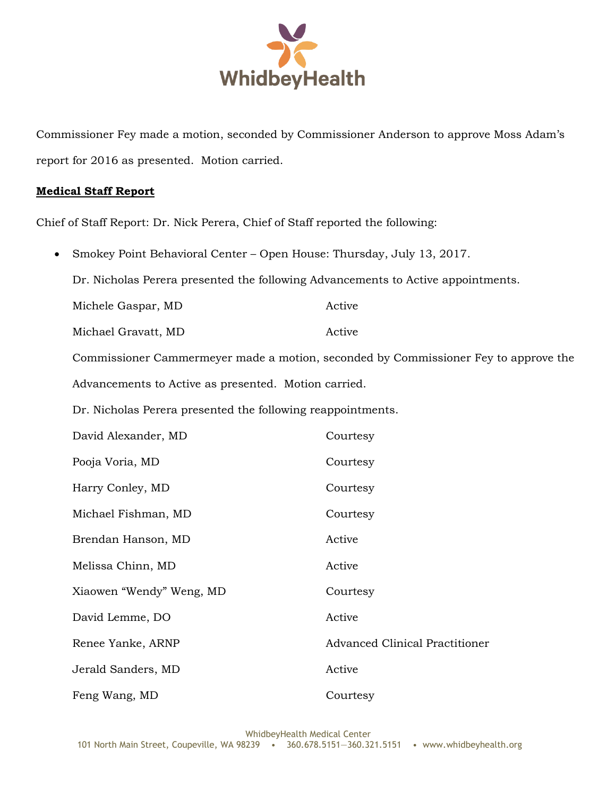

Commissioner Fey made a motion, seconded by Commissioner Anderson to approve Moss Adam's report for 2016 as presented. Motion carried.

#### **Medical Staff Report**

Chief of Staff Report: Dr. Nick Perera, Chief of Staff reported the following:

Smokey Point Behavioral Center – Open House: Thursday, July 13, 2017.

Dr. Nicholas Perera presented the following Advancements to Active appointments.

Michele Gaspar, MD Active

Michael Gravatt, MD Active

Commissioner Cammermeyer made a motion, seconded by Commissioner Fey to approve the Advancements to Active as presented. Motion carried.

Dr. Nicholas Perera presented the following reappointments.

| David Alexander, MD      | Courtesy                              |
|--------------------------|---------------------------------------|
| Pooja Voria, MD          | Courtesy                              |
| Harry Conley, MD         | Courtesy                              |
| Michael Fishman, MD      | Courtesy                              |
| Brendan Hanson, MD       | Active                                |
| Melissa Chinn, MD        | Active                                |
| Xiaowen "Wendy" Weng, MD | Courtesy                              |
| David Lemme, DO          | Active                                |
| Renee Yanke, ARNP        | <b>Advanced Clinical Practitioner</b> |
| Jerald Sanders, MD       | Active                                |
| Feng Wang, MD            | Courtesy                              |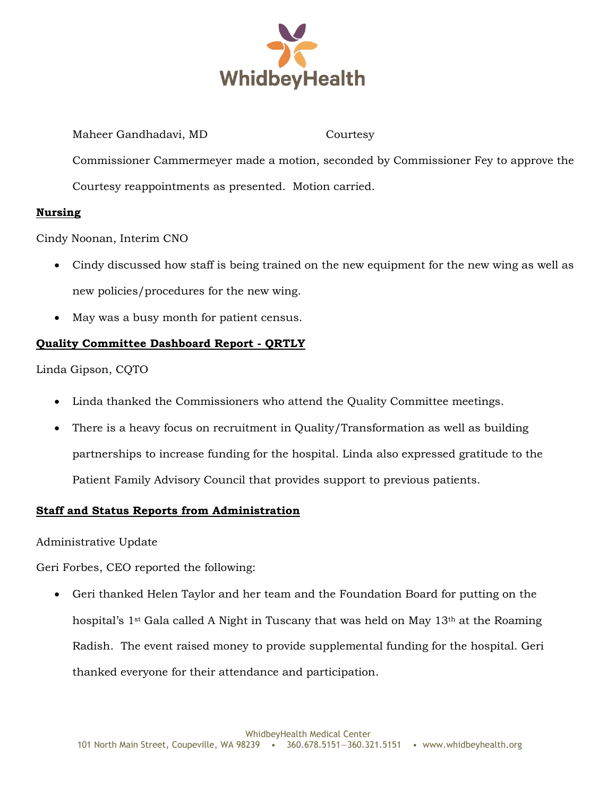

Maheer Gandhadavi, MD Courtesy Commissioner Cammermeyer made a motion, seconded by Commissioner Fey to approve the Courtesy reappointments as presented. Motion carried.

# **Nursing**

Cindy Noonan, Interim CNO

- Cindy discussed how staff is being trained on the new equipment for the new wing as well as new policies/procedures for the new wing.
- May was a busy month for patient census.

# **Quality Committee Dashboard Report - QRTLY**

Linda Gipson, CQTO

- Linda thanked the Commissioners who attend the Quality Committee meetings.
- There is a heavy focus on recruitment in Quality/Transformation as well as building partnerships to increase funding for the hospital. Linda also expressed gratitude to the Patient Family Advisory Council that provides support to previous patients.

# **Staff and Status Reports from Administration**

Administrative Update

Geri Forbes, CEO reported the following:

 Geri thanked Helen Taylor and her team and the Foundation Board for putting on the hospital's  $1^{st}$  Gala called A Night in Tuscany that was held on May  $13^{th}$  at the Roaming Radish. The event raised money to provide supplemental funding for the hospital. Geri thanked everyone for their attendance and participation.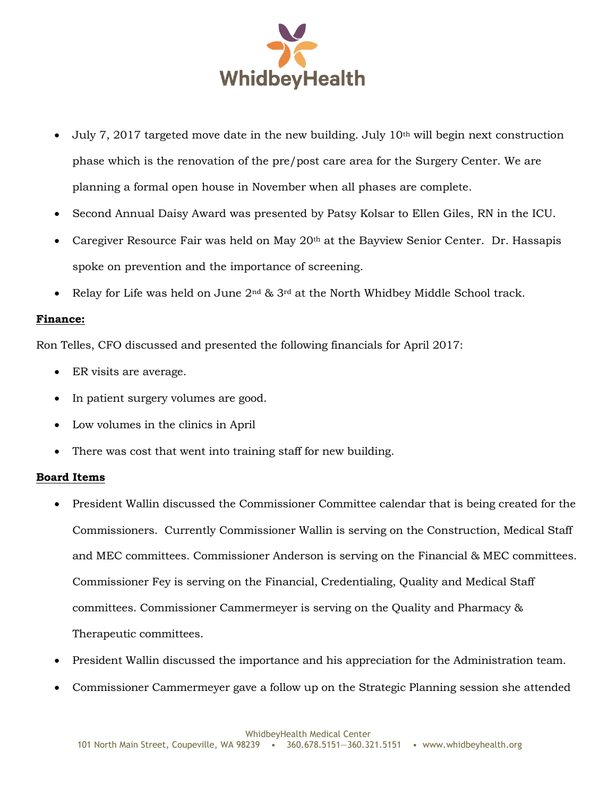

- July 7, 2017 targeted move date in the new building. July  $10<sup>th</sup>$  will begin next construction phase which is the renovation of the pre/post care area for the Surgery Center. We are planning a formal open house in November when all phases are complete.
- Second Annual Daisy Award was presented by Patsy Kolsar to Ellen Giles, RN in the ICU.
- Caregiver Resource Fair was held on May 20th at the Bayview Senior Center. Dr. Hassapis spoke on prevention and the importance of screening.
- Relay for Life was held on June 2nd & 3rd at the North Whidbey Middle School track.

#### **Finance:**

Ron Telles, CFO discussed and presented the following financials for April 2017:

- ER visits are average.
- In patient surgery volumes are good.
- Low volumes in the clinics in April
- There was cost that went into training staff for new building.

#### **Board Items**

- President Wallin discussed the Commissioner Committee calendar that is being created for the Commissioners. Currently Commissioner Wallin is serving on the Construction, Medical Staff and MEC committees. Commissioner Anderson is serving on the Financial & MEC committees. Commissioner Fey is serving on the Financial, Credentialing, Quality and Medical Staff committees. Commissioner Cammermeyer is serving on the Quality and Pharmacy & Therapeutic committees.
- President Wallin discussed the importance and his appreciation for the Administration team.
- Commissioner Cammermeyer gave a follow up on the Strategic Planning session she attended